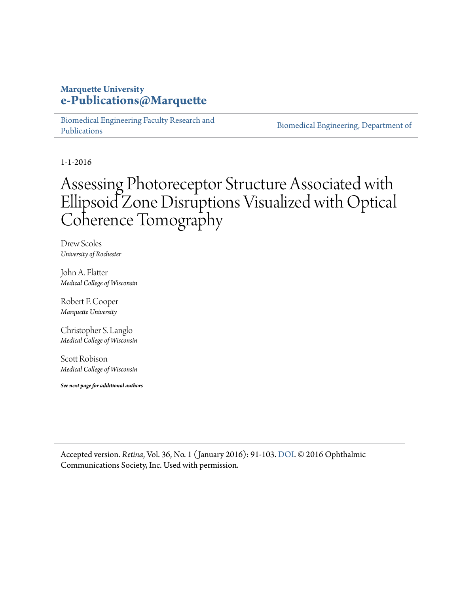#### **Marquette University [e-Publications@Marquette](https://epublications.marquette.edu)**

[Biomedical Engineering Faculty Research and](https://epublications.marquette.edu/bioengin_fac) [Publications](https://epublications.marquette.edu/bioengin_fac)

[Biomedical Engineering, Department of](https://epublications.marquette.edu/bioengin)

1-1-2016

# Assessing Photoreceptor Structure Associated with Ellipsoid Zone Disruptions Visualized with Optical Coherence Tomography

Drew Scoles *University of Rochester*

John A. Flatter *Medical College of Wisconsin*

Robert F. Cooper *Marquette University*

Christopher S. Langlo *Medical College of Wisconsin*

Scott Robison *Medical College of Wisconsin*

*See next page for additional authors*

Accepted version. *Retina*, Vol. 36, No. 1 ( January 2016): 91-103. [DOI](http://dx.doi.org/10.1097/IAE.0000000000000618). © 2016 Ophthalmic Communications Society, Inc. Used with permission.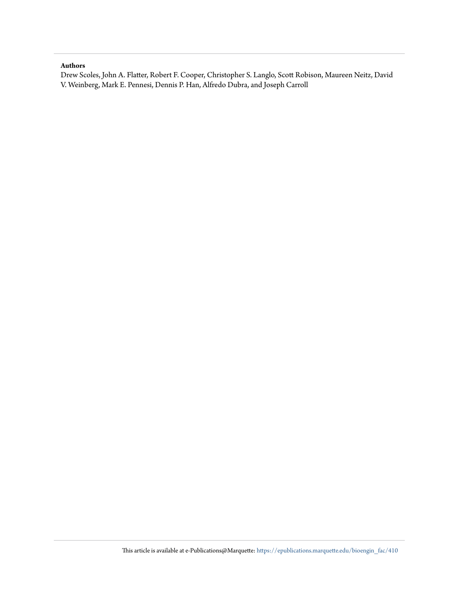#### **Authors**

Drew Scoles, John A. Flatter, Robert F. Cooper, Christopher S. Langlo, Scott Robison, Maureen Neitz, David V. Weinberg, Mark E. Pennesi, Dennis P. Han, Alfredo Dubra, and Joseph Carroll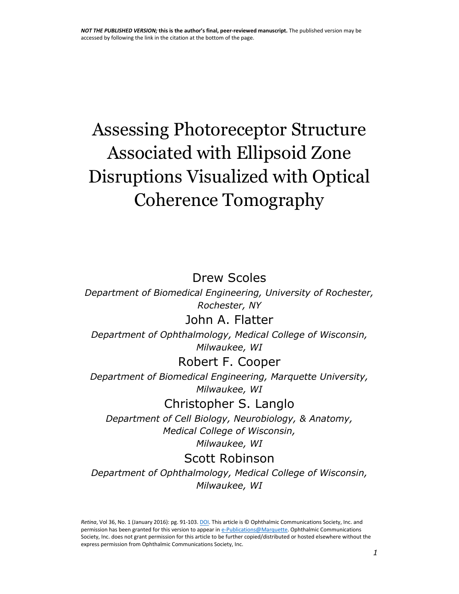# Assessing Photoreceptor Structure Associated with Ellipsoid Zone Disruptions Visualized with Optical Coherence Tomography

### Drew Scoles

*Department of Biomedical Engineering, University of Rochester, Rochester, NY*

#### John A. Flatter

*Department of Ophthalmology, Medical College of Wisconsin, Milwaukee, WI*

#### Robert F. Cooper

*Department of Biomedical Engineering, Marquette University, Milwaukee, WI*

#### Christopher S. Langlo

*Department of Cell Biology, Neurobiology, & Anatomy, Medical College of Wisconsin, Milwaukee, WI* 

#### Scott Robinson

*Department of Ophthalmology, Medical College of Wisconsin, Milwaukee, WI*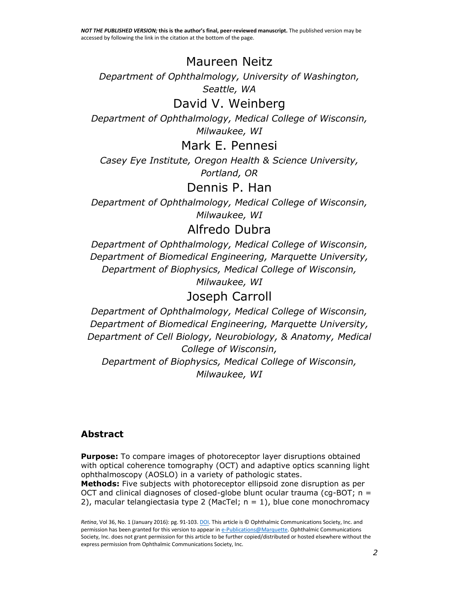# Maureen Neitz

*Department of Ophthalmology, University of Washington, Seattle, WA*

# David V. Weinberg

*Department of Ophthalmology, Medical College of Wisconsin, Milwaukee, WI*

Mark E. Pennesi

*Casey Eye Institute, Oregon Health & Science University, Portland, OR* 

## Dennis P. Han

*Department of Ophthalmology, Medical College of Wisconsin, Milwaukee, WI* 

## Alfredo Dubra

*Department of Ophthalmology, Medical College of Wisconsin, Department of Biomedical Engineering, Marquette University, Department of Biophysics, Medical College of Wisconsin, Milwaukee, WI* 

# Joseph Carroll

*Department of Ophthalmology, Medical College of Wisconsin, Department of Biomedical Engineering, Marquette University, Department of Cell Biology, Neurobiology, & Anatomy, Medical College of Wisconsin, Department of Biophysics, Medical College of Wisconsin, Milwaukee, WI*

#### **Abstract**

**Purpose:** To compare images of photoreceptor layer disruptions obtained with optical coherence tomography (OCT) and adaptive optics scanning light ophthalmoscopy (AOSLO) in a variety of pathologic states.

**Methods:** Five subjects with photoreceptor ellipsoid zone disruption as per OCT and clinical diagnoses of closed-globe blunt ocular trauma (cg-BOT;  $n =$ 2), macular telangiectasia type 2 (MacTel;  $n = 1$ ), blue cone monochromacy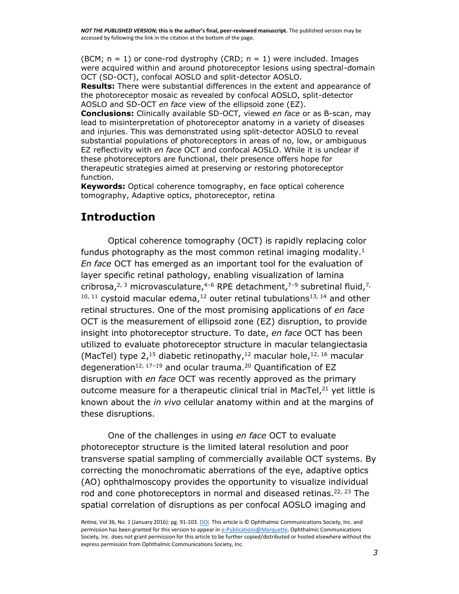(BCM;  $n = 1$ ) or cone-rod dystrophy (CRD;  $n = 1$ ) were included. Images were acquired within and around photoreceptor lesions using spectral-domain OCT (SD-OCT), confocal AOSLO and split-detector AOSLO.

**Results:** There were substantial differences in the extent and appearance of the photoreceptor mosaic as revealed by confocal AOSLO, split-detector AOSLO and SD-OCT *en face* view of the ellipsoid zone (EZ).

**Conclusions:** Clinically available SD-OCT, viewed *en face* or as B-scan, may lead to misinterpretation of photoreceptor anatomy in a variety of diseases and injuries. This was demonstrated using split-detector AOSLO to reveal substantial populations of photoreceptors in areas of no, low, or ambiguous EZ reflectivity with *en face* OCT and confocal AOSLO. While it is unclear if these photoreceptors are functional, their presence offers hope for therapeutic strategies aimed at preserving or restoring photoreceptor function.

**Keywords:** Optical coherence tomography, en face optical coherence tomography, Adaptive optics, photoreceptor, retina

#### **Introduction**

Optical coherence tomography (OCT) is rapidly replacing color fundus photography as the most common retinal imaging modality.<sup>[1](https://www.ncbi.nlm.nih.gov/pmc/articles/PMC4843118/#R1)</sup> *En face* OCT has emerged as an important tool for the evaluation of layer specific retinal pathology, enabling visualization of lamina cribrosa,<sup>[2,](https://www.ncbi.nlm.nih.gov/pmc/articles/PMC4843118/#R2) [3](https://www.ncbi.nlm.nih.gov/pmc/articles/PMC4843118/#R3)</sup> microvasculature,<sup>[4](https://www.ncbi.nlm.nih.gov/pmc/articles/PMC4843118/#R4)-[6](https://www.ncbi.nlm.nih.gov/pmc/articles/PMC4843118/#R6)</sup> RPE detachment,<sup>[7](https://www.ncbi.nlm.nih.gov/pmc/articles/PMC4843118/#R7)-[9](https://www.ncbi.nlm.nih.gov/pmc/articles/PMC4843118/#R9)</sup> subretinal fluid,<sup>[7,](https://www.ncbi.nlm.nih.gov/pmc/articles/PMC4843118/#R7)</sup>  $10, 11$  $10, 11$  cystoid macular edema,  $12$  outer retinal tubulations<sup>[13,](https://www.ncbi.nlm.nih.gov/pmc/articles/PMC4843118/#R13) [14](https://www.ncbi.nlm.nih.gov/pmc/articles/PMC4843118/#R14)</sup> and other retinal structures. One of the most promising applications of *en face* OCT is the measurement of ellipsoid zone (EZ) disruption, to provide insight into photoreceptor structure. To date, *en face* OCT has been utilized to evaluate photoreceptor structure in macular telangiectasia (MacTel) type 2,<sup>[15](https://www.ncbi.nlm.nih.gov/pmc/articles/PMC4843118/#R15)</sup> diabetic retinopathy,<sup>[12](https://www.ncbi.nlm.nih.gov/pmc/articles/PMC4843118/#R12)</sup> macular hole,<sup>[12,](https://www.ncbi.nlm.nih.gov/pmc/articles/PMC4843118/#R12) [16](https://www.ncbi.nlm.nih.gov/pmc/articles/PMC4843118/#R16)</sup> macular degeneration<sup>[12,](https://www.ncbi.nlm.nih.gov/pmc/articles/PMC4843118/#R12) [17](https://www.ncbi.nlm.nih.gov/pmc/articles/PMC4843118/#R17)-[19](https://www.ncbi.nlm.nih.gov/pmc/articles/PMC4843118/#R19)</sup> and ocular trauma.<sup>[20](https://www.ncbi.nlm.nih.gov/pmc/articles/PMC4843118/#R20)</sup> Quantification of EZ disruption with *en face* OCT was recently approved as the primary outcome measure for a therapeutic clinical trial in MacTel, $21$  yet little is known about the *in vivo* cellular anatomy within and at the margins of these disruptions.

One of the challenges in using *en face* OCT to evaluate photoreceptor structure is the limited lateral resolution and poor transverse spatial sampling of commercially available OCT systems. By correcting the monochromatic aberrations of the eye, adaptive optics (AO) ophthalmoscopy provides the opportunity to visualize individual rod and cone photoreceptors in normal and diseased retinas.<sup>[22,](https://www.ncbi.nlm.nih.gov/pmc/articles/PMC4843118/#R22) [23](https://www.ncbi.nlm.nih.gov/pmc/articles/PMC4843118/#R23)</sup> The spatial correlation of disruptions as per confocal AOSLO imaging and

*Retina*, Vol 36, No. 1 (January 2016): pg. 91-103[. DOI.](http://dx.doi.org/10.1097/IAE.0000000000000618) This article is © Ophthalmic Communications Society, Inc. and permission has been granted for this version to appear i[n e-Publications@Marquette.](http://epublications.marquette.edu/) Ophthalmic Communications Society, Inc. does not grant permission for this article to be further copied/distributed or hosted elsewhere without the express permission from Ophthalmic Communications Society, Inc.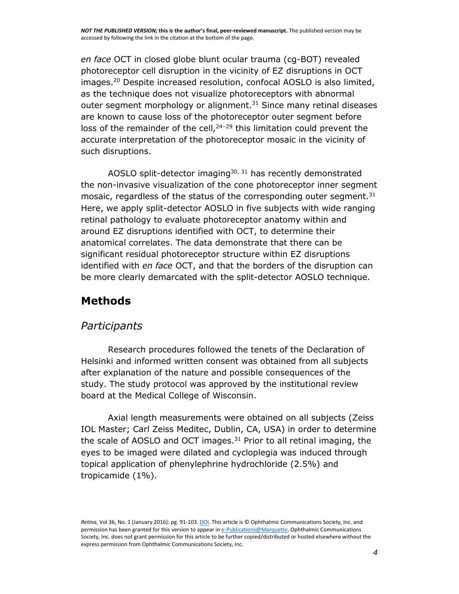*en face* OCT in closed globe blunt ocular trauma (cg-BOT) revealed photoreceptor cell disruption in the vicinity of EZ disruptions in OCT images.[20](https://www.ncbi.nlm.nih.gov/pmc/articles/PMC4843118/#R20) Despite increased resolution, confocal AOSLO is also limited, as the technique does not visualize photoreceptors with abnormal outer segment morphology or alignment.<sup>[31](https://www.ncbi.nlm.nih.gov/pmc/articles/PMC4843118/#R31)</sup> Since many retinal diseases are known to cause loss of the photoreceptor outer segment before loss of the remainder of the cell,  $24-29$  $24-29$  $24-29$  this limitation could prevent the accurate interpretation of the photoreceptor mosaic in the vicinity of such disruptions.

AOSLO split-detector imaging $30, 31$  $30, 31$  has recently demonstrated the non-invasive visualization of the cone photoreceptor inner segment mosaic, regardless of the status of the corresponding outer segment. $31$ Here, we apply split-detector AOSLO in five subjects with wide ranging retinal pathology to evaluate photoreceptor anatomy within and around EZ disruptions identified with OCT, to determine their anatomical correlates. The data demonstrate that there can be significant residual photoreceptor structure within EZ disruptions identified with *en face* OCT, and that the borders of the disruption can be more clearly demarcated with the split-detector AOSLO technique.

### **Methods**

#### *Participants*

Research procedures followed the tenets of the Declaration of Helsinki and informed written consent was obtained from all subjects after explanation of the nature and possible consequences of the study. The study protocol was approved by the institutional review board at the Medical College of Wisconsin.

Axial length measurements were obtained on all subjects (Zeiss IOL Master; Carl Zeiss Meditec, Dublin, CA, USA) in order to determine the scale of AOSLO and OCT images. $31$  Prior to all retinal imaging, the eyes to be imaged were dilated and cycloplegia was induced through topical application of phenylephrine hydrochloride (2.5%) and tropicamide (1%).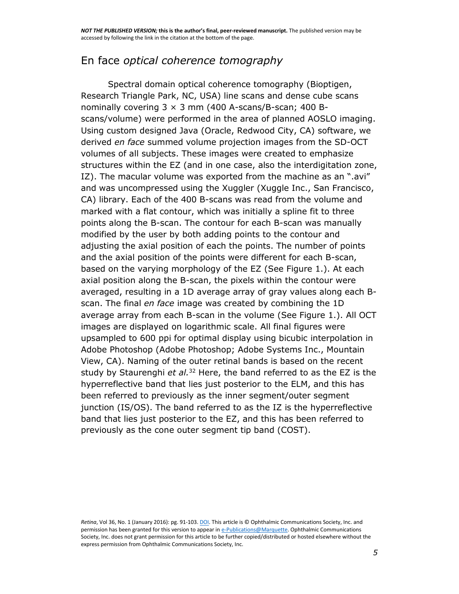#### En face *optical coherence tomography*

Spectral domain optical coherence tomography (Bioptigen, Research Triangle Park, NC, USA) line scans and dense cube scans nominally covering  $3 \times 3$  mm (400 A-scans/B-scan; 400 Bscans/volume) were performed in the area of planned AOSLO imaging. Using custom designed Java (Oracle, Redwood City, CA) software, we derived *en face* summed volume projection images from the SD-OCT volumes of all subjects. These images were created to emphasize structures within the EZ (and in one case, also the interdigitation zone, IZ). The macular volume was exported from the machine as an ".avi" and was uncompressed using the Xuggler (Xuggle Inc., San Francisco, CA) library. Each of the 400 B-scans was read from the volume and marked with a flat contour, which was initially a spline fit to three points along the B-scan. The contour for each B-scan was manually modified by the user by both adding points to the contour and adjusting the axial position of each the points. The number of points and the axial position of the points were different for each B-scan, based on the varying morphology of the EZ (See [Figure 1.](https://www.ncbi.nlm.nih.gov/pmc/articles/PMC4843118/figure/F1/)). At each axial position along the B-scan, the pixels within the contour were averaged, resulting in a 1D average array of gray values along each Bscan. The final *en face* image was created by combining the 1D average array from each B-scan in the volume (See [Figure 1.](https://www.ncbi.nlm.nih.gov/pmc/articles/PMC4843118/figure/F1/)). All OCT images are displayed on logarithmic scale. All final figures were upsampled to 600 ppi for optimal display using bicubic interpolation in Adobe Photoshop (Adobe Photoshop; Adobe Systems Inc., Mountain View, CA). Naming of the outer retinal bands is based on the recent study by Staurenghi *et al.*[32](https://www.ncbi.nlm.nih.gov/pmc/articles/PMC4843118/#R32) Here, the band referred to as the EZ is the hyperreflective band that lies just posterior to the ELM, and this has been referred to previously as the inner segment/outer segment junction (IS/OS). The band referred to as the IZ is the hyperreflective band that lies just posterior to the EZ, and this has been referred to previously as the cone outer segment tip band (COST).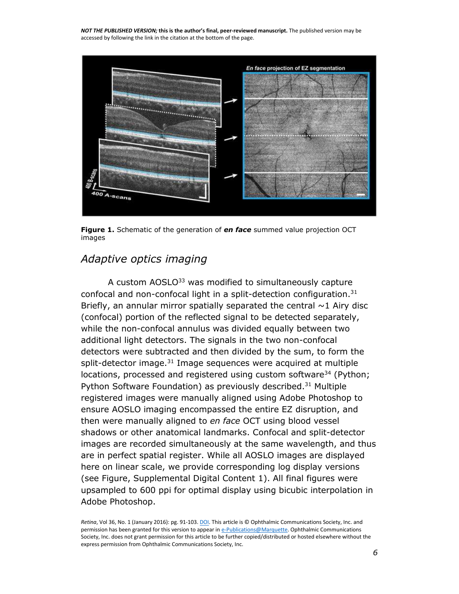

**[Figure 1.](https://www.ncbi.nlm.nih.gov/pmc/articles/PMC4843118/figure/F1/)** Schematic of the generation of *en face* summed value projection OCT images

#### *Adaptive optics imaging*

A custom AOSLO<sup>[33](https://www.ncbi.nlm.nih.gov/pmc/articles/PMC4843118/#R33)</sup> was modified to simultaneously capture confocal and non-confocal light in a split-detection configuration.<sup>[31](https://www.ncbi.nlm.nih.gov/pmc/articles/PMC4843118/#R31)</sup> Briefly, an annular mirror spatially separated the central  $\sim$ 1 Airy disc (confocal) portion of the reflected signal to be detected separately, while the non-confocal annulus was divided equally between two additional light detectors. The signals in the two non-confocal detectors were subtracted and then divided by the sum, to form the split-detector image. $31$  Image sequences were acquired at multiple locations, processed and registered using custom software<sup>[34](https://www.ncbi.nlm.nih.gov/pmc/articles/PMC4843118/#R34)</sup> (Python; Python Software Foundation) as previously described.<sup>[31](https://www.ncbi.nlm.nih.gov/pmc/articles/PMC4843118/#R31)</sup> Multiple registered images were manually aligned using Adobe Photoshop to ensure AOSLO imaging encompassed the entire EZ disruption, and then were manually aligned to *en face* OCT using blood vessel shadows or other anatomical landmarks. Confocal and split-detector images are recorded simultaneously at the same wavelength, and thus are in perfect spatial register. While all AOSLO images are displayed here on linear scale, we provide corresponding log display versions (see [Figure, Supplemental Digital Content 1\)](https://www.ncbi.nlm.nih.gov/pmc/articles/PMC4843118/#SD1). All final figures were upsampled to 600 ppi for optimal display using bicubic interpolation in Adobe Photoshop.

*Retina*, Vol 36, No. 1 (January 2016): pg. 91-103[. DOI.](http://dx.doi.org/10.1097/IAE.0000000000000618) This article is © Ophthalmic Communications Society, Inc. and permission has been granted for this version to appear i[n e-Publications@Marquette.](http://epublications.marquette.edu/) Ophthalmic Communications Society, Inc. does not grant permission for this article to be further copied/distributed or hosted elsewhere without the express permission from Ophthalmic Communications Society, Inc.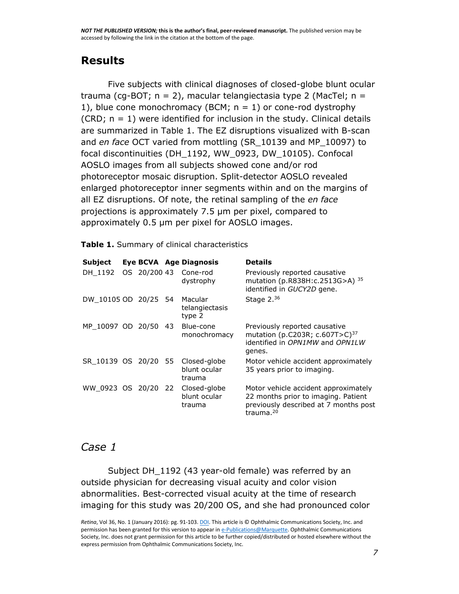### **Results**

Five subjects with clinical diagnoses of closed-globe blunt ocular trauma (cg-BOT;  $n = 2$ ), macular telangiectasia type 2 (MacTel;  $n =$ 1), blue cone monochromacy (BCM;  $n = 1$ ) or cone-rod dystrophy (CRD;  $n = 1$ ) were identified for inclusion in the study. Clinical details are summarized in [Table 1.](https://www.ncbi.nlm.nih.gov/pmc/articles/PMC4843118/table/T1/) The EZ disruptions visualized with B-scan and *en face* OCT varied from mottling (SR\_10139 and MP\_10097) to focal discontinuities (DH\_1192, WW\_0923, DW\_10105). Confocal AOSLO images from all subjects showed cone and/or rod photoreceptor mosaic disruption. Split-detector AOSLO revealed enlarged photoreceptor inner segments within and on the margins of all EZ disruptions. Of note, the retinal sampling of the *en face* projections is approximately 7.5 μm per pixel, compared to approximately 0.5 μm per pixel for AOSLO images.

**[Table 1.](https://www.ncbi.nlm.nih.gov/pmc/articles/PMC4843118/table/T1/)** Summary of clinical characteristics

| Subject              |              | Eye BCVA Age Diagnosis                 | <b>Details</b>                                                                                                                                |
|----------------------|--------------|----------------------------------------|-----------------------------------------------------------------------------------------------------------------------------------------------|
| DH 1192              | OS 20/200 43 | Cone-rod<br>dystrophy                  | Previously reported causative<br>mutation (p.R838H:c.2513G>A) 35<br>identified in GUCY2D gene.                                                |
| DW 10105 OD 20/25 54 |              | Macular<br>telangiectasis<br>type 2    | Stage $2.36$                                                                                                                                  |
| MP 10097 OD 20/50 43 |              | Blue-cone<br>monochromacy              | Previously reported causative<br>mutation (p.C203R; c.607T>C) <sup>37</sup><br>identified in OPN1MW and OPN1LW<br>genes.                      |
| SR 10139 OS 20/20 55 |              | Closed-globe<br>blunt ocular<br>trauma | Motor vehicle accident approximately<br>35 years prior to imaging.                                                                            |
| WW 0923 OS 20/20 22  |              | Closed-globe<br>blunt ocular<br>trauma | Motor vehicle accident approximately<br>22 months prior to imaging. Patient<br>previously described at 7 months post<br>trauma. <sup>20</sup> |

#### *Case 1*

Subject DH 1192 (43 year-old female) was referred by an outside physician for decreasing visual acuity and color vision abnormalities. Best-corrected visual acuity at the time of research imaging for this study was 20/200 OS, and she had pronounced color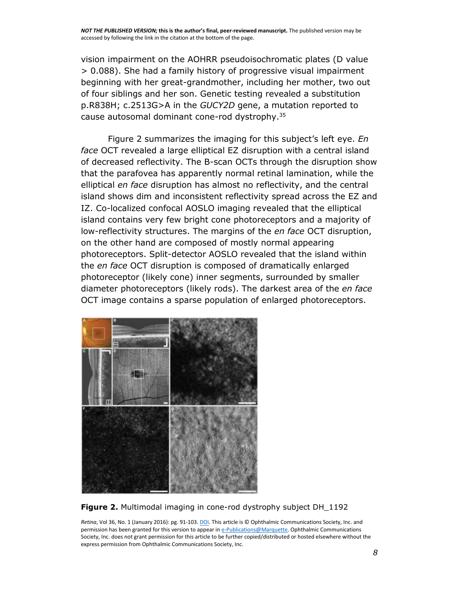vision impairment on the AOHRR pseudoisochromatic plates (D value > 0.088). She had a family history of progressive visual impairment beginning with her great-grandmother, including her mother, two out of four siblings and her son. Genetic testing revealed a substitution p.R838H; c.2513G>A in the *GUCY2D* gene, a mutation reported to cause autosomal dominant cone-rod dystrophy.[35](https://www.ncbi.nlm.nih.gov/pmc/articles/PMC4843118/#R35)

[Figure 2](https://www.ncbi.nlm.nih.gov/pmc/articles/PMC4843118/figure/F2/) summarizes the imaging for this subject's left eye. *En face* OCT revealed a large elliptical EZ disruption with a central island of decreased reflectivity. The B-scan OCTs through the disruption show that the parafovea has apparently normal retinal lamination, while the elliptical *en face* disruption has almost no reflectivity, and the central island shows dim and inconsistent reflectivity spread across the EZ and IZ. Co-localized confocal AOSLO imaging revealed that the elliptical island contains very few bright cone photoreceptors and a majority of low-reflectivity structures. The margins of the *en face* OCT disruption, on the other hand are composed of mostly normal appearing photoreceptors. Split-detector AOSLO revealed that the island within the *en face* OCT disruption is composed of dramatically enlarged photoreceptor (likely cone) inner segments, surrounded by smaller diameter photoreceptors (likely rods). The darkest area of the *en face* OCT image contains a sparse population of enlarged photoreceptors.



**[Figure 2.](https://www.ncbi.nlm.nih.gov/pmc/articles/PMC4843118/figure/F2/)** Multimodal imaging in cone-rod dystrophy subject DH\_1192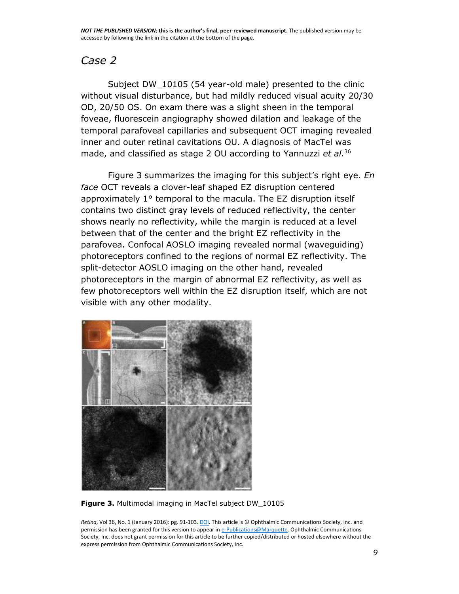#### *Case 2*

Subject DW\_10105 (54 year-old male) presented to the clinic without visual disturbance, but had mildly reduced visual acuity 20/30 OD, 20/50 OS. On exam there was a slight sheen in the temporal foveae, fluorescein angiography showed dilation and leakage of the temporal parafoveal capillaries and subsequent OCT imaging revealed inner and outer retinal cavitations OU. A diagnosis of MacTel was made, and classified as stage 2 OU according to Yannuzzi *et al.*[36](https://www.ncbi.nlm.nih.gov/pmc/articles/PMC4843118/#R36)

[Figure 3](https://www.ncbi.nlm.nih.gov/pmc/articles/PMC4843118/figure/F3/) summarizes the imaging for this subject's right eye. *En face* OCT reveals a clover-leaf shaped EZ disruption centered approximately 1° temporal to the macula. The EZ disruption itself contains two distinct gray levels of reduced reflectivity, the center shows nearly no reflectivity, while the margin is reduced at a level between that of the center and the bright EZ reflectivity in the parafovea. Confocal AOSLO imaging revealed normal (waveguiding) photoreceptors confined to the regions of normal EZ reflectivity. The split-detector AOSLO imaging on the other hand, revealed photoreceptors in the margin of abnormal EZ reflectivity, as well as few photoreceptors well within the EZ disruption itself, which are not visible with any other modality.



**[Figure 3.](https://www.ncbi.nlm.nih.gov/pmc/articles/PMC4843118/figure/F3/)** Multimodal imaging in MacTel subject DW\_10105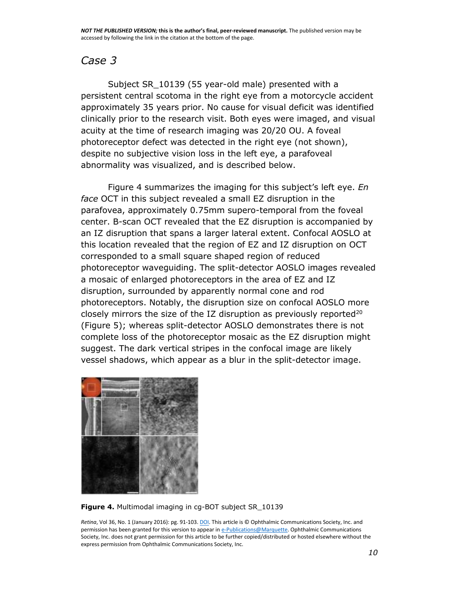#### *Case 3*

Subject SR\_10139 (55 year-old male) presented with a persistent central scotoma in the right eye from a motorcycle accident approximately 35 years prior. No cause for visual deficit was identified clinically prior to the research visit. Both eyes were imaged, and visual acuity at the time of research imaging was 20/20 OU. A foveal photoreceptor defect was detected in the right eye (not shown), despite no subjective vision loss in the left eye, a parafoveal abnormality was visualized, and is described below.

[Figure 4](https://www.ncbi.nlm.nih.gov/pmc/articles/PMC4843118/figure/F4/) summarizes the imaging for this subject's left eye. *En face* OCT in this subject revealed a small EZ disruption in the parafovea, approximately 0.75mm supero-temporal from the foveal center. B-scan OCT revealed that the EZ disruption is accompanied by an IZ disruption that spans a larger lateral extent. Confocal AOSLO at this location revealed that the region of EZ and IZ disruption on OCT corresponded to a small square shaped region of reduced photoreceptor waveguiding. The split-detector AOSLO images revealed a mosaic of enlarged photoreceptors in the area of EZ and IZ disruption, surrounded by apparently normal cone and rod photoreceptors. Notably, the disruption size on confocal AOSLO more closely mirrors the size of the IZ disruption as previously reported $20$ [\(Figure 5\)](https://www.ncbi.nlm.nih.gov/pmc/articles/PMC4843118/figure/F5/); whereas split-detector AOSLO demonstrates there is not complete loss of the photoreceptor mosaic as the EZ disruption might suggest. The dark vertical stripes in the confocal image are likely vessel shadows, which appear as a blur in the split-detector image.



**[Figure 4.](https://www.ncbi.nlm.nih.gov/pmc/articles/PMC4843118/figure/F4/)** Multimodal imaging in cg-BOT subject SR\_10139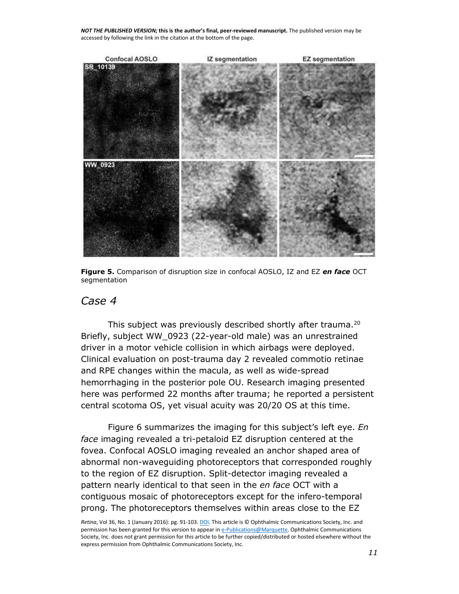

**[Figure 5.](https://www.ncbi.nlm.nih.gov/pmc/articles/PMC4843118/figure/F5/)** Comparison of disruption size in confocal AOSLO, IZ and EZ *en face* OCT segmentation

#### *Case 4*

This subject was previously described shortly after trauma.<sup>[20](https://www.ncbi.nlm.nih.gov/pmc/articles/PMC4843118/#R20)</sup> Briefly, subject WW\_0923 (22-year-old male) was an unrestrained driver in a motor vehicle collision in which airbags were deployed. Clinical evaluation on post-trauma day 2 revealed commotio retinae and RPE changes within the macula, as well as wide-spread hemorrhaging in the posterior pole OU. Research imaging presented here was performed 22 months after trauma; he reported a persistent central scotoma OS, yet visual acuity was 20/20 OS at this time.

[Figure 6](https://www.ncbi.nlm.nih.gov/pmc/articles/PMC4843118/figure/F6/) summarizes the imaging for this subject's left eye. *En face* imaging revealed a tri-petaloid EZ disruption centered at the fovea. Confocal AOSLO imaging revealed an anchor shaped area of abnormal non-waveguiding photoreceptors that corresponded roughly to the region of EZ disruption. Split-detector imaging revealed a pattern nearly identical to that seen in the *en face* OCT with a contiguous mosaic of photoreceptors except for the infero-temporal prong. The photoreceptors themselves within areas close to the EZ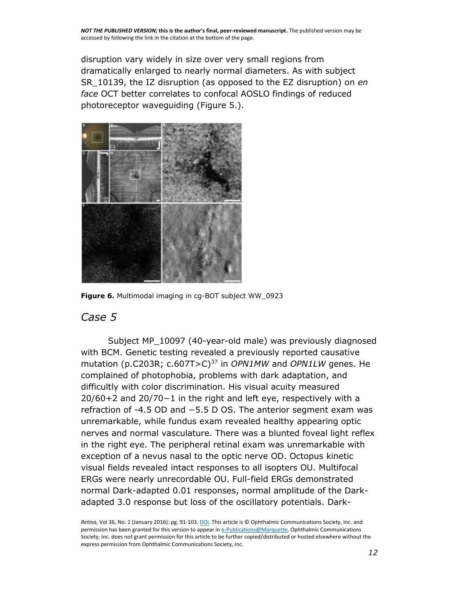disruption vary widely in size over very small regions from dramatically enlarged to nearly normal diameters. As with subject SR\_10139, the IZ disruption (as opposed to the EZ disruption) on *en face* OCT better correlates to confocal AOSLO findings of reduced photoreceptor waveguiding [\(Figure 5.](https://www.ncbi.nlm.nih.gov/pmc/articles/PMC4843118/figure/F5/)).



**[Figure 6.](https://www.ncbi.nlm.nih.gov/pmc/articles/PMC4843118/figure/F6/)** Multimodal imaging in cg-BOT subject WW\_0923

#### *Case 5*

Subject MP\_10097 (40-year-old male) was previously diagnosed with BCM. Genetic testing revealed a previously reported causative mutation (p.C203R; c.607T>C)[37](https://www.ncbi.nlm.nih.gov/pmc/articles/PMC4843118/#R37) in *OPN1MW* and *OPN1LW* genes. He complained of photophobia, problems with dark adaptation, and difficultly with color discrimination. His visual acuity measured 20/60+2 and 20/70−1 in the right and left eye, respectively with a refraction of -4.5 OD and −5.5 D OS. The anterior segment exam was unremarkable, while fundus exam revealed healthy appearing optic nerves and normal vasculature. There was a blunted foveal light reflex in the right eye. The peripheral retinal exam was unremarkable with exception of a nevus nasal to the optic nerve OD. Octopus kinetic visual fields revealed intact responses to all isopters OU. Multifocal ERGs were nearly unrecordable OU. Full-field ERGs demonstrated normal Dark-adapted 0.01 responses, normal amplitude of the Darkadapted 3.0 response but loss of the oscillatory potentials. Dark-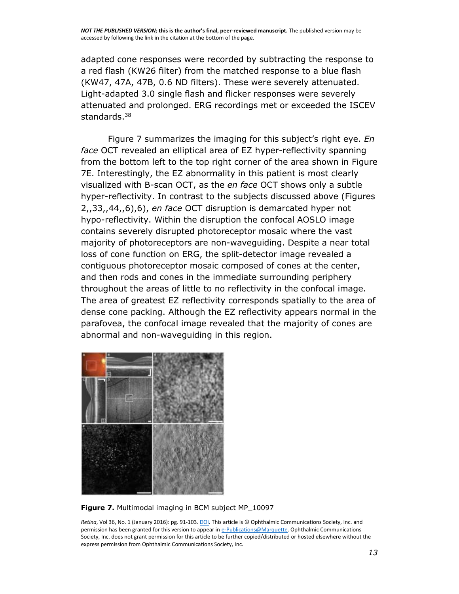adapted cone responses were recorded by subtracting the response to a red flash (KW26 filter) from the matched response to a blue flash (KW47, 47A, 47B, 0.6 ND filters). These were severely attenuated. Light-adapted 3.0 single flash and flicker responses were severely attenuated and prolonged. ERG recordings met or exceeded the ISCEV standards.<sup>[38](https://www.ncbi.nlm.nih.gov/pmc/articles/PMC4843118/#R38)</sup>

[Figure 7](https://www.ncbi.nlm.nih.gov/pmc/articles/PMC4843118/figure/F7/) summarizes the imaging for this subject's right eye. *En face* OCT revealed an elliptical area of EZ hyper-reflectivity spanning from the bottom left to the top right corner of the area shown in [Figure](https://www.ncbi.nlm.nih.gov/pmc/articles/PMC4843118/figure/F7/)  [7E.](https://www.ncbi.nlm.nih.gov/pmc/articles/PMC4843118/figure/F7/) Interestingly, the EZ abnormality in this patient is most clearly visualized with B-scan OCT, as the *en face* OCT shows only a subtle hyper-reflectivity. In contrast to the subjects discussed above [\(Figures](https://www.ncbi.nlm.nih.gov/pmc/articles/PMC4843118/figure/F2/)  [2,](https://www.ncbi.nlm.nih.gov/pmc/articles/PMC4843118/figure/F2/)[,33,](https://www.ncbi.nlm.nih.gov/pmc/articles/PMC4843118/figure/F3/)[,44,](https://www.ncbi.nlm.nih.gov/pmc/articles/PMC4843118/figure/F4/)[,6\),6\)](https://www.ncbi.nlm.nih.gov/pmc/articles/PMC4843118/figure/F6/), *en face* OCT disruption is demarcated hyper not hypo-reflectivity. Within the disruption the confocal AOSLO image contains severely disrupted photoreceptor mosaic where the vast majority of photoreceptors are non-waveguiding. Despite a near total loss of cone function on ERG, the split-detector image revealed a contiguous photoreceptor mosaic composed of cones at the center, and then rods and cones in the immediate surrounding periphery throughout the areas of little to no reflectivity in the confocal image. The area of greatest EZ reflectivity corresponds spatially to the area of dense cone packing. Although the EZ reflectivity appears normal in the parafovea, the confocal image revealed that the majority of cones are abnormal and non-waveguiding in this region.



**[Figure 7.](https://www.ncbi.nlm.nih.gov/pmc/articles/PMC4843118/figure/F7/)** Multimodal imaging in BCM subject MP\_10097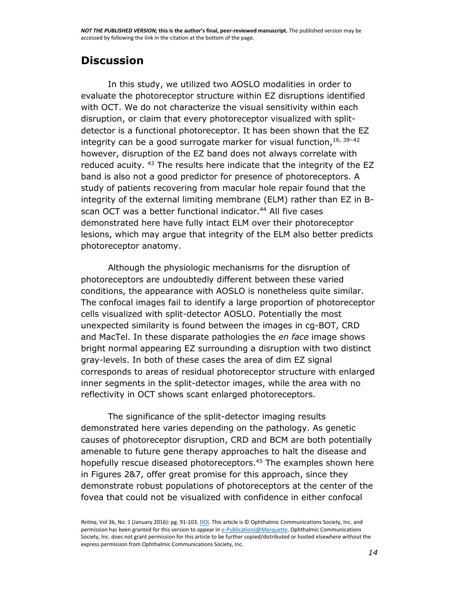## **Discussion**

In this study, we utilized two AOSLO modalities in order to evaluate the photoreceptor structure within EZ disruptions identified with OCT. We do not characterize the visual sensitivity within each disruption, or claim that every photoreceptor visualized with splitdetector is a functional photoreceptor. It has been shown that the EZ integrity can be a good surrogate marker for visual function.<sup>[16,](https://www.ncbi.nlm.nih.gov/pmc/articles/PMC4843118/#R16) [39](https://www.ncbi.nlm.nih.gov/pmc/articles/PMC4843118/#R39)-[42](https://www.ncbi.nlm.nih.gov/pmc/articles/PMC4843118/#R42)</sup> however, disruption of the EZ band does not always correlate with reduced acuity. <sup>[43](https://www.ncbi.nlm.nih.gov/pmc/articles/PMC4843118/#R43)</sup> The results here indicate that the integrity of the EZ band is also not a good predictor for presence of photoreceptors. A study of patients recovering from macular hole repair found that the integrity of the external limiting membrane (ELM) rather than EZ in B-scan OCT was a better functional indicator.<sup>[44](https://www.ncbi.nlm.nih.gov/pmc/articles/PMC4843118/#R44)</sup> All five cases demonstrated here have fully intact ELM over their photoreceptor lesions, which may argue that integrity of the ELM also better predicts photoreceptor anatomy.

Although the physiologic mechanisms for the disruption of photoreceptors are undoubtedly different between these varied conditions, the appearance with AOSLO is nonetheless quite similar. The confocal images fail to identify a large proportion of photoreceptor cells visualized with split-detector AOSLO. Potentially the most unexpected similarity is found between the images in cg-BOT, CRD and MacTel. In these disparate pathologies the *en face* image shows bright normal appearing EZ surrounding a disruption with two distinct gray-levels. In both of these cases the area of dim EZ signal corresponds to areas of residual photoreceptor structure with enlarged inner segments in the split-detector images, while the area with no reflectivity in OCT shows scant enlarged photoreceptors.

The significance of the split-detector imaging results demonstrated here varies depending on the pathology. As genetic causes of photoreceptor disruption, CRD and BCM are both potentially amenable to future gene therapy approaches to halt the disease and hopefully rescue diseased photoreceptors.<sup>[45](https://www.ncbi.nlm.nih.gov/pmc/articles/PMC4843118/#R45)</sup> The examples shown here in [Figures 2&](https://www.ncbi.nlm.nih.gov/pmc/articles/PMC4843118/figure/F2/)[7,](https://www.ncbi.nlm.nih.gov/pmc/articles/PMC4843118/figure/F7/) offer great promise for this approach, since they demonstrate robust populations of photoreceptors at the center of the fovea that could not be visualized with confidence in either confocal

*Retina*, Vol 36, No. 1 (January 2016): pg. 91-103[. DOI.](http://dx.doi.org/10.1097/IAE.0000000000000618) This article is © Ophthalmic Communications Society, Inc. and permission has been granted for this version to appear i[n e-Publications@Marquette.](http://epublications.marquette.edu/) Ophthalmic Communications Society, Inc. does not grant permission for this article to be further copied/distributed or hosted elsewhere without the express permission from Ophthalmic Communications Society, Inc.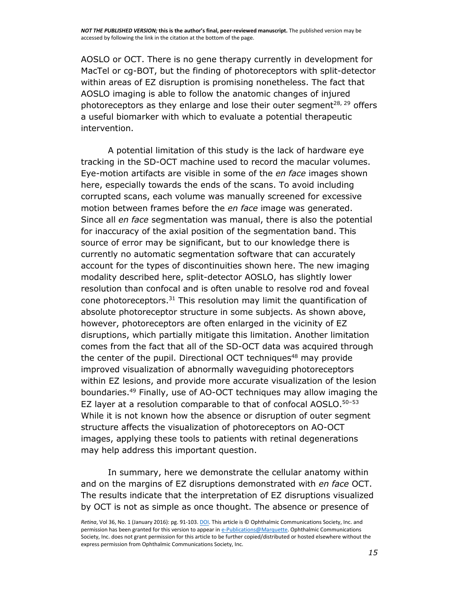AOSLO or OCT. There is no gene therapy currently in development for MacTel or cg-BOT, but the finding of photoreceptors with split-detector within areas of EZ disruption is promising nonetheless. The fact that AOSLO imaging is able to follow the anatomic changes of injured photoreceptors as they enlarge and lose their outer segment<sup>[28,](https://www.ncbi.nlm.nih.gov/pmc/articles/PMC4843118/#R28) [29](https://www.ncbi.nlm.nih.gov/pmc/articles/PMC4843118/#R29)</sup> offers a useful biomarker with which to evaluate a potential therapeutic intervention.

A potential limitation of this study is the lack of hardware eye tracking in the SD-OCT machine used to record the macular volumes. Eye-motion artifacts are visible in some of the *en face* images shown here, especially towards the ends of the scans. To avoid including corrupted scans, each volume was manually screened for excessive motion between frames before the *en face* image was generated. Since all *en face* segmentation was manual, there is also the potential for inaccuracy of the axial position of the segmentation band. This source of error may be significant, but to our knowledge there is currently no automatic segmentation software that can accurately account for the types of discontinuities shown here. The new imaging modality described here, split-detector AOSLO, has slightly lower resolution than confocal and is often unable to resolve rod and foveal cone photoreceptors.<sup>[31](https://www.ncbi.nlm.nih.gov/pmc/articles/PMC4843118/#R31)</sup> This resolution may limit the quantification of absolute photoreceptor structure in some subjects. As shown above, however, photoreceptors are often enlarged in the vicinity of EZ disruptions, which partially mitigate this limitation. Another limitation comes from the fact that all of the SD-OCT data was acquired through the center of the pupil. Directional OCT techniques<sup>[48](https://www.ncbi.nlm.nih.gov/pmc/articles/PMC4843118/#R48)</sup> may provide improved visualization of abnormally waveguiding photoreceptors within EZ lesions, and provide more accurate visualization of the lesion boundaries.[49](https://www.ncbi.nlm.nih.gov/pmc/articles/PMC4843118/#R49) Finally, use of AO-OCT techniques may allow imaging the EZ layer at a resolution comparable to that of confocal AOSLO.<sup>[50](https://www.ncbi.nlm.nih.gov/pmc/articles/PMC4843118/#R50)-[53](https://www.ncbi.nlm.nih.gov/pmc/articles/PMC4843118/#R53)</sup> While it is not known how the absence or disruption of outer segment structure affects the visualization of photoreceptors on AO-OCT images, applying these tools to patients with retinal degenerations may help address this important question.

In summary, here we demonstrate the cellular anatomy within and on the margins of EZ disruptions demonstrated with *en face* OCT. The results indicate that the interpretation of EZ disruptions visualized by OCT is not as simple as once thought. The absence or presence of

*Retina*, Vol 36, No. 1 (January 2016): pg. 91-103[. DOI.](http://dx.doi.org/10.1097/IAE.0000000000000618) This article is © Ophthalmic Communications Society, Inc. and permission has been granted for this version to appear i[n e-Publications@Marquette.](http://epublications.marquette.edu/) Ophthalmic Communications Society, Inc. does not grant permission for this article to be further copied/distributed or hosted elsewhere without the express permission from Ophthalmic Communications Society, Inc.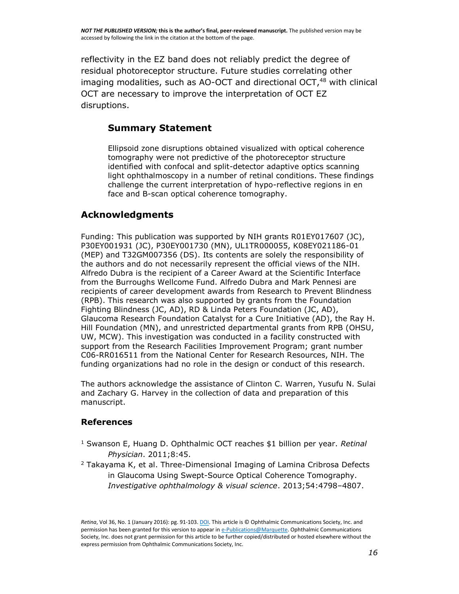reflectivity in the EZ band does not reliably predict the degree of residual photoreceptor structure. Future studies correlating other imaging modalities, such as AO-OCT and directional OCT,<sup>[48](https://www.ncbi.nlm.nih.gov/pmc/articles/PMC4843118/#R48)</sup> with clinical OCT are necessary to improve the interpretation of OCT EZ disruptions.

#### **Summary Statement**

Ellipsoid zone disruptions obtained visualized with optical coherence tomography were not predictive of the photoreceptor structure identified with confocal and split-detector adaptive optics scanning light ophthalmoscopy in a number of retinal conditions. These findings challenge the current interpretation of hypo-reflective regions in en face and B-scan optical coherence tomography.

#### **Acknowledgments**

Funding: This publication was supported by NIH grants R01EY017607 (JC), P30EY001931 (JC), P30EY001730 (MN), UL1TR000055, K08EY021186-01 (MEP) and T32GM007356 (DS). Its contents are solely the responsibility of the authors and do not necessarily represent the official views of the NIH. Alfredo Dubra is the recipient of a Career Award at the Scientific Interface from the Burroughs Wellcome Fund. Alfredo Dubra and Mark Pennesi are recipients of career development awards from Research to Prevent Blindness (RPB). This research was also supported by grants from the Foundation Fighting Blindness (JC, AD), RD & Linda Peters Foundation (JC, AD), Glaucoma Research Foundation Catalyst for a Cure Initiative (AD), the Ray H. Hill Foundation (MN), and unrestricted departmental grants from RPB (OHSU, UW, MCW). This investigation was conducted in a facility constructed with support from the Research Facilities Improvement Program; grant number C06-RR016511 from the National Center for Research Resources, NIH. The funding organizations had no role in the design or conduct of this research.

The authors acknowledge the assistance of Clinton C. Warren, Yusufu N. Sulai and Zachary G. Harvey in the collection of data and preparation of this manuscript.

#### **References**

- <sup>1</sup> Swanson E, Huang D. Ophthalmic OCT reaches \$1 billion per year. *Retinal Physician*. 2011;8:45.
- $2$  Takayama K, et al. Three-Dimensional Imaging of Lamina Cribrosa Defects in Glaucoma Using Swept-Source Optical Coherence Tomography. *Investigative ophthalmology & visual science*. 2013;54:4798–4807.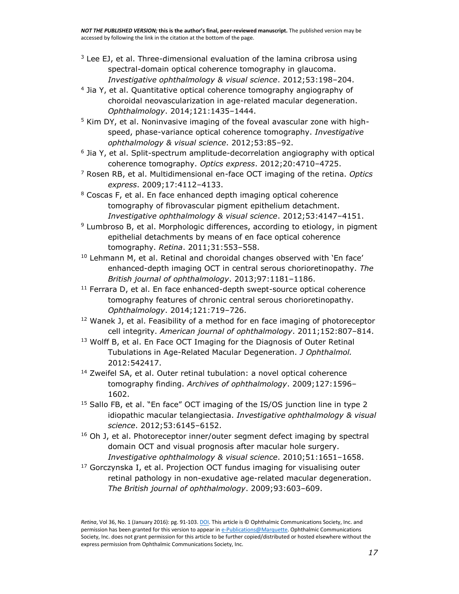- $3$  Lee EJ, et al. Three-dimensional evaluation of the lamina cribrosa using spectral-domain optical coherence tomography in glaucoma. *Investigative ophthalmology & visual science*. 2012;53:198–204.
- 4 Jia Y, et al. Quantitative optical coherence tomography angiography of choroidal neovascularization in age-related macular degeneration. *Ophthalmology*. 2014;121:1435–1444.
- $5$  Kim DY, et al. Noninvasive imaging of the foveal avascular zone with highspeed, phase-variance optical coherence tomography. *Investigative ophthalmology & visual science*. 2012;53:85–92.
- 6 Jia Y, et al. Split-spectrum amplitude-decorrelation angiography with optical coherence tomography. *Optics express*. 2012;20:4710–4725.
- <sup>7</sup> Rosen RB, et al. Multidimensional en-face OCT imaging of the retina. *Optics express*. 2009;17:4112–4133.
- <sup>8</sup> Coscas F, et al. En face enhanced depth imaging optical coherence tomography of fibrovascular pigment epithelium detachment. *Investigative ophthalmology & visual science*. 2012;53:4147–4151.
- <sup>9</sup> Lumbroso B, et al. Morphologic differences, according to etiology, in pigment epithelial detachments by means of en face optical coherence tomography. *Retina*. 2011;31:553–558.
- $10$  Lehmann M, et al. Retinal and choroidal changes observed with 'En face' enhanced-depth imaging OCT in central serous chorioretinopathy. *The British journal of ophthalmology*. 2013;97:1181–1186.
- $11$  Ferrara D, et al. En face enhanced-depth swept-source optical coherence tomography features of chronic central serous chorioretinopathy. *Ophthalmology*. 2014;121:719–726.
- <sup>12</sup> Wanek J, et al. Feasibility of a method for en face imaging of photoreceptor cell integrity. *American journal of ophthalmology*. 2011;152:807–814.
- <sup>13</sup> Wolff B, et al. En Face OCT Imaging for the Diagnosis of Outer Retinal Tubulations in Age-Related Macular Degeneration. *J Ophthalmol.* 2012:542417.
- <sup>14</sup> Zweifel SA, et al. Outer retinal tubulation: a novel optical coherence tomography finding. *Archives of ophthalmology*. 2009;127:1596– 1602.
- <sup>15</sup> Sallo FB, et al. "En face" OCT imaging of the IS/OS junction line in type 2 idiopathic macular telangiectasia. *Investigative ophthalmology & visual science*. 2012;53:6145–6152.
- <sup>16</sup> Oh J, et al. Photoreceptor inner/outer segment defect imaging by spectral domain OCT and visual prognosis after macular hole surgery. *Investigative ophthalmology & visual science*. 2010;51:1651–1658.
- $17$  Gorczynska I, et al. Projection OCT fundus imaging for visualising outer retinal pathology in non-exudative age-related macular degeneration. *The British journal of ophthalmology*. 2009;93:603–609.

*Retina*, Vol 36, No. 1 (January 2016): pg. 91-103[. DOI.](http://dx.doi.org/10.1097/IAE.0000000000000618) This article is © Ophthalmic Communications Society, Inc. and permission has been granted for this version to appear i[n e-Publications@Marquette.](http://epublications.marquette.edu/) Ophthalmic Communications Society, Inc. does not grant permission for this article to be further copied/distributed or hosted elsewhere without the express permission from Ophthalmic Communications Society, Inc.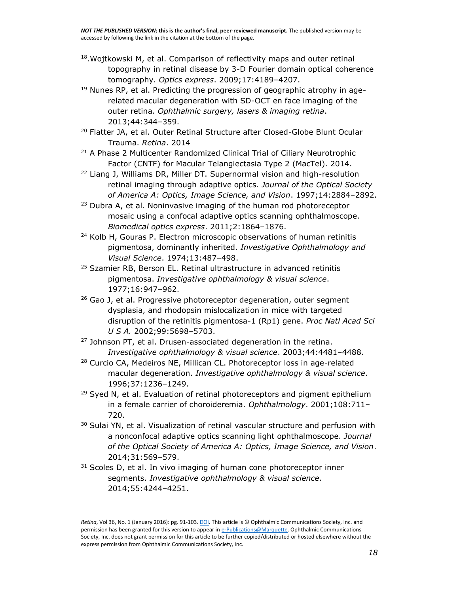- <sup>18</sup>. Wojtkowski M, et al. Comparison of reflectivity maps and outer retinal topography in retinal disease by 3-D Fourier domain optical coherence tomography. *Optics express*. 2009;17:4189–4207.
- $19$  Nunes RP, et al. Predicting the progression of geographic atrophy in agerelated macular degeneration with SD-OCT en face imaging of the outer retina. *Ophthalmic surgery, lasers & imaging retina*. 2013;44:344–359.
- <sup>20</sup> Flatter JA, et al. Outer Retinal Structure after Closed-Globe Blunt Ocular Trauma. *Retina*. 2014
- <sup>21</sup> A Phase 2 Multicenter Randomized Clinical Trial of Ciliary Neurotrophic Factor (CNTF) for Macular Telangiectasia Type 2 (MacTel). 2014.
- <sup>22</sup> Liang J, Williams DR, Miller DT. Supernormal vision and high-resolution retinal imaging through adaptive optics. *Journal of the Optical Society of America A: Optics, Image Science, and Vision*. 1997;14:2884–2892.
- <sup>23</sup> Dubra A, et al. Noninvasive imaging of the human rod photoreceptor mosaic using a confocal adaptive optics scanning ophthalmoscope. *Biomedical optics express*. 2011;2:1864–1876.
- <sup>24</sup> Kolb H, Gouras P. Electron microscopic observations of human retinitis pigmentosa, dominantly inherited. *Investigative Ophthalmology and Visual Science*. 1974;13:487–498.
- <sup>25</sup> Szamier RB, Berson EL. Retinal ultrastructure in advanced retinitis pigmentosa. *Investigative ophthalmology & visual science*. 1977;16:947–962.
- <sup>26</sup> Gao J, et al. Progressive photoreceptor degeneration, outer segment dysplasia, and rhodopsin mislocalization in mice with targeted disruption of the retinitis pigmentosa-1 (Rp1) gene. *Proc Natl Acad Sci U S A.* 2002;99:5698–5703.
- <sup>27</sup> Johnson PT, et al. Drusen-associated degeneration in the retina. *Investigative ophthalmology & visual science*. 2003;44:4481–4488.
- <sup>28</sup> Curcio CA, Medeiros NE, Millican CL. Photoreceptor loss in age-related macular degeneration. *Investigative ophthalmology & visual science*. 1996;37:1236–1249.
- $29$  Syed N, et al. Evaluation of retinal photoreceptors and pigment epithelium in a female carrier of choroideremia. *Ophthalmology*. 2001;108:711– 720.
- <sup>30</sup> Sulai YN, et al. Visualization of retinal vascular structure and perfusion with a nonconfocal adaptive optics scanning light ophthalmoscope. *Journal of the Optical Society of America A: Optics, Image Science, and Vision*. 2014;31:569–579.
- $31$  Scoles D, et al. In vivo imaging of human cone photoreceptor inner segments. *Investigative ophthalmology & visual science*. 2014;55:4244–4251.

*Retina*, Vol 36, No. 1 (January 2016): pg. 91-103[. DOI.](http://dx.doi.org/10.1097/IAE.0000000000000618) This article is © Ophthalmic Communications Society, Inc. and permission has been granted for this version to appear i[n e-Publications@Marquette.](http://epublications.marquette.edu/) Ophthalmic Communications Society, Inc. does not grant permission for this article to be further copied/distributed or hosted elsewhere without the express permission from Ophthalmic Communications Society, Inc.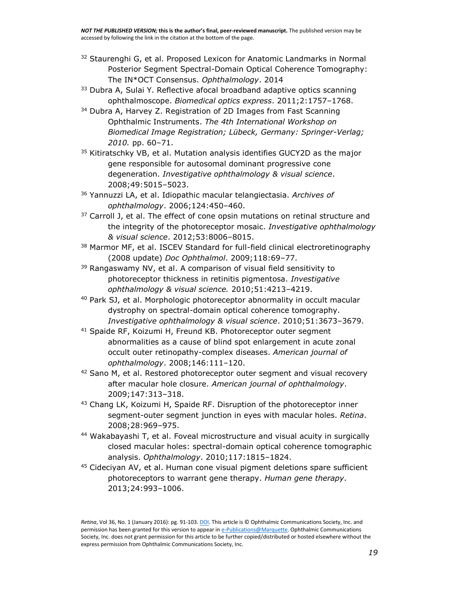- $32$  Staurenghi G, et al. Proposed Lexicon for Anatomic Landmarks in Normal Posterior Segment Spectral-Domain Optical Coherence Tomography: The IN\*OCT Consensus. *Ophthalmology*. 2014
- <sup>33</sup> Dubra A, Sulai Y. Reflective afocal broadband adaptive optics scanning ophthalmoscope. *Biomedical optics express*. 2011;2:1757–1768.
- <sup>34</sup> Dubra A, Harvey Z. Registration of 2D Images from Fast Scanning Ophthalmic Instruments. *The 4th International Workshop on Biomedical Image Registration; Lübeck, Germany: Springer-Verlag; 2010.* pp. 60–71.
- <sup>35</sup> Kitiratschky VB, et al. Mutation analysis identifies GUCY2D as the major gene responsible for autosomal dominant progressive cone degeneration. *Investigative ophthalmology & visual science*. 2008;49:5015–5023.
- <sup>36</sup> Yannuzzi LA, et al. Idiopathic macular telangiectasia. *Archives of ophthalmology*. 2006;124:450–460.
- $37$  Carroll J, et al. The effect of cone opsin mutations on retinal structure and the integrity of the photoreceptor mosaic. *Investigative ophthalmology & visual science*. 2012;53:8006–8015.
- 38 Marmor MF, et al. ISCEV Standard for full-field clinical electroretinography (2008 update) *Doc Ophthalmol*. 2009;118:69–77.
- <sup>39</sup> Rangaswamy NV, et al. A comparison of visual field sensitivity to photoreceptor thickness in retinitis pigmentosa. *Investigative ophthalmology & visual science.* 2010;51:4213–4219.
- <sup>40</sup> Park SJ, et al. Morphologic photoreceptor abnormality in occult macular dystrophy on spectral-domain optical coherence tomography. *Investigative ophthalmology & visual science*. 2010;51:3673–3679.
- <sup>41</sup> Spaide RF, Koizumi H, Freund KB. Photoreceptor outer segment abnormalities as a cause of blind spot enlargement in acute zonal occult outer retinopathy-complex diseases. *American journal of ophthalmology*. 2008;146:111–120.
- <sup>42</sup> Sano M, et al. Restored photoreceptor outer segment and visual recovery after macular hole closure. *American journal of ophthalmology*. 2009;147:313–318.
- <sup>43</sup> Chang LK, Koizumi H, Spaide RF. Disruption of the photoreceptor inner segment-outer segment junction in eyes with macular holes. *Retina*. 2008;28:969–975.
- <sup>44</sup> Wakabayashi T, et al. Foveal microstructure and visual acuity in surgically closed macular holes: spectral-domain optical coherence tomographic analysis. *Ophthalmology*. 2010;117:1815–1824.
- <sup>45</sup> Cideciyan AV, et al. Human cone visual pigment deletions spare sufficient photoreceptors to warrant gene therapy. *Human gene therapy*. 2013;24:993–1006.

*Retina*, Vol 36, No. 1 (January 2016): pg. 91-103[. DOI.](http://dx.doi.org/10.1097/IAE.0000000000000618) This article is © Ophthalmic Communications Society, Inc. and permission has been granted for this version to appear i[n e-Publications@Marquette.](http://epublications.marquette.edu/) Ophthalmic Communications Society, Inc. does not grant permission for this article to be further copied/distributed or hosted elsewhere without the express permission from Ophthalmic Communications Society, Inc.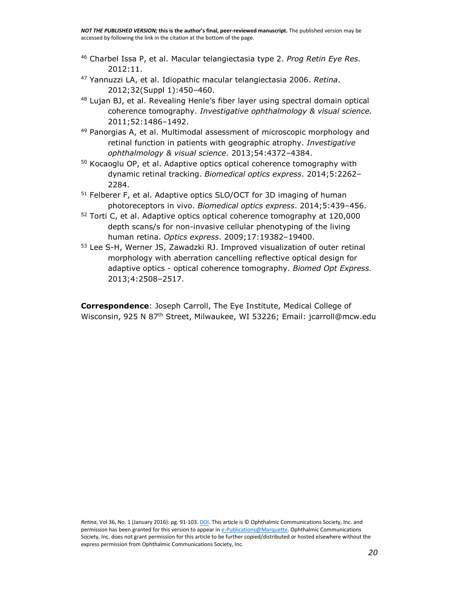- <sup>46</sup> Charbel Issa P, et al. Macular telangiectasia type 2. *Prog Retin Eye Res.* 2012:11.
- <sup>47</sup> Yannuzzi LA, et al. Idiopathic macular telangiectasia 2006. *Retina*. 2012;32(Suppl 1):450–460.
- 48 Lujan BJ, et al. Revealing Henle's fiber layer using spectral domain optical coherence tomography. *Investigative ophthalmology & visual science.* 2011;52:1486–1492.
- $49$  Panorgias A, et al. Multimodal assessment of microscopic morphology and retinal function in patients with geographic atrophy. *Investigative ophthalmology & visual science*. 2013;54:4372–4384.
- <sup>50</sup> Kocaoglu OP, et al. Adaptive optics optical coherence tomography with dynamic retinal tracking. *Biomedical optics express*. 2014;5:2262– 2284.
- <sup>51</sup> Felberer F, et al. Adaptive optics SLO/OCT for 3D imaging of human photoreceptors in vivo. *Biomedical optics express*. 2014;5:439–456.
- <sup>52</sup> Torti C, et al. Adaptive optics optical coherence tomography at 120,000 depth scans/s for non-invasive cellular phenotyping of the living human retina. *Optics express*. 2009;17:19382–19400.
- <sup>53</sup> Lee S-H, Werner JS, Zawadzki RJ. Improved visualization of outer retinal morphology with aberration cancelling reflective optical design for adaptive optics - optical coherence tomography. *Biomed Opt Express.* 2013;4:2508–2517.

**Correspondence**: Joseph Carroll, The Eye Institute, Medical College of Wisconsin, 925 N 87<sup>th</sup> Street, Milwaukee, WI 53226; Email: [jcarroll@mcw.edu](mailto:jcarroll@mcw.edu)